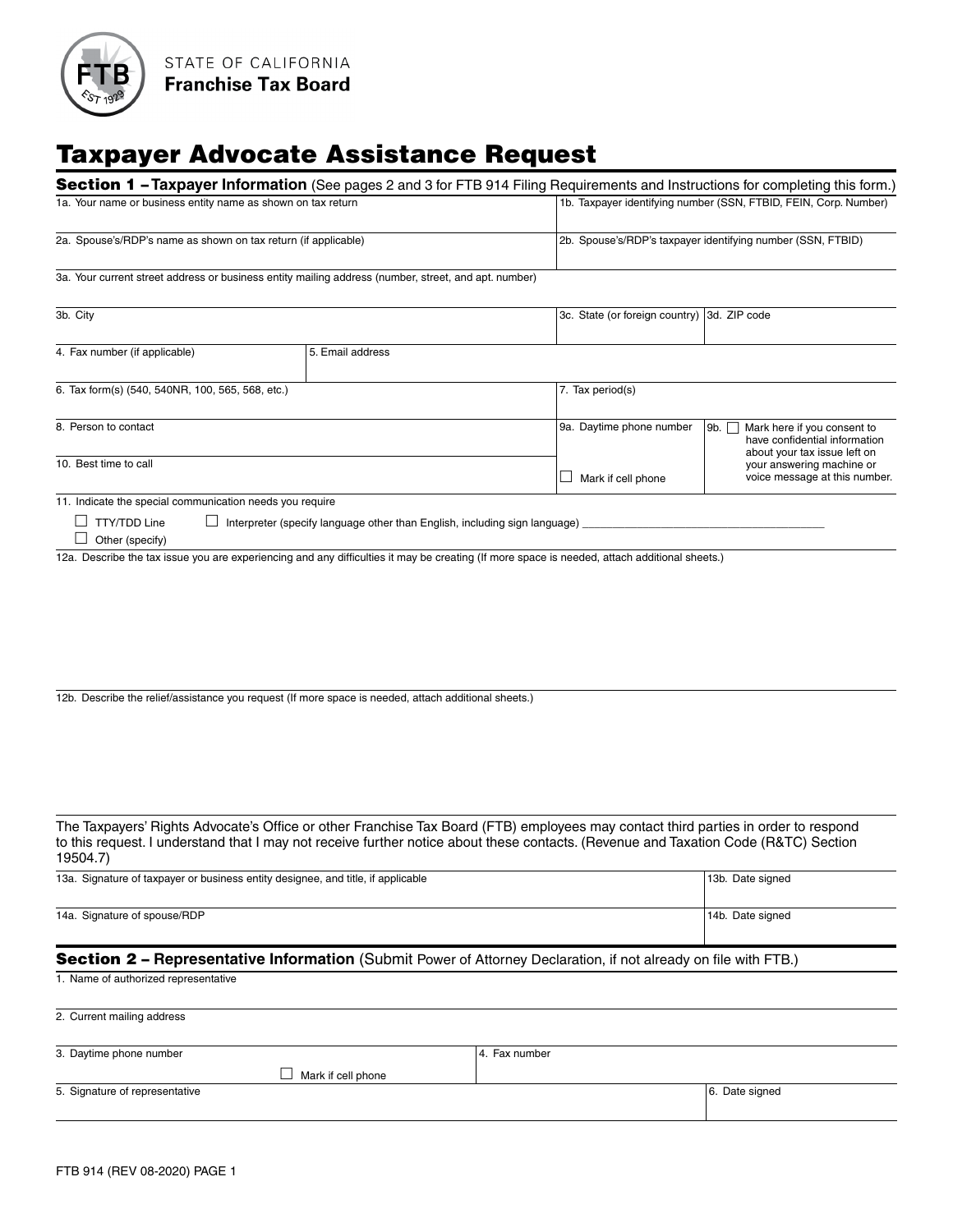

# Taxpayer Advocate Assistance Request

|                                                                                                                                |                                                                            | <b>Section 1 - Taxpayer Information</b> (See pages 2 and 3 for FTB 914 Filing Requirements and Instructions for completing this form.)                                                                                                                                    |                                                                  |  |
|--------------------------------------------------------------------------------------------------------------------------------|----------------------------------------------------------------------------|---------------------------------------------------------------------------------------------------------------------------------------------------------------------------------------------------------------------------------------------------------------------------|------------------------------------------------------------------|--|
| 1a. Your name or business entity name as shown on tax return<br>2a. Spouse's/RDP's name as shown on tax return (if applicable) |                                                                            |                                                                                                                                                                                                                                                                           | 1b. Taxpayer identifying number (SSN, FTBID, FEIN, Corp. Number) |  |
|                                                                                                                                |                                                                            |                                                                                                                                                                                                                                                                           |                                                                  |  |
|                                                                                                                                |                                                                            |                                                                                                                                                                                                                                                                           | 2b. Spouse's/RDP's taxpayer identifying number (SSN, FTBID)      |  |
| 3a. Your current street address or business entity mailing address (number, street, and apt. number)                           |                                                                            |                                                                                                                                                                                                                                                                           |                                                                  |  |
|                                                                                                                                |                                                                            |                                                                                                                                                                                                                                                                           |                                                                  |  |
| 3b. City                                                                                                                       |                                                                            |                                                                                                                                                                                                                                                                           | 3c. State (or foreign country) 3d. ZIP code                      |  |
|                                                                                                                                |                                                                            |                                                                                                                                                                                                                                                                           |                                                                  |  |
| 4. Fax number (if applicable)                                                                                                  | 5. Email address                                                           |                                                                                                                                                                                                                                                                           |                                                                  |  |
| 6. Tax form(s) (540, 540NR, 100, 565, 568, etc.)                                                                               |                                                                            |                                                                                                                                                                                                                                                                           | 7. Tax period(s)                                                 |  |
|                                                                                                                                |                                                                            |                                                                                                                                                                                                                                                                           |                                                                  |  |
| 8. Person to contact                                                                                                           |                                                                            | 9a. Daytime phone number                                                                                                                                                                                                                                                  | Mark here if you consent to<br>9b. $\Box$                        |  |
|                                                                                                                                |                                                                            |                                                                                                                                                                                                                                                                           | have confidential information                                    |  |
| 10. Best time to call                                                                                                          |                                                                            |                                                                                                                                                                                                                                                                           | about your tax issue left on<br>your answering machine or        |  |
|                                                                                                                                |                                                                            | Mark if cell phone<br>⊔                                                                                                                                                                                                                                                   | voice message at this number.                                    |  |
| 11. Indicate the special communication needs you require                                                                       |                                                                            |                                                                                                                                                                                                                                                                           |                                                                  |  |
| $\Box$ TTY/TDD Line                                                                                                            | Interpreter (specify language other than English, including sign language) |                                                                                                                                                                                                                                                                           |                                                                  |  |
| Other (specify)                                                                                                                |                                                                            |                                                                                                                                                                                                                                                                           |                                                                  |  |
|                                                                                                                                |                                                                            | 12a. Describe the tax issue you are experiencing and any difficulties it may be creating (If more space is needed, attach additional sheets.)                                                                                                                             |                                                                  |  |
|                                                                                                                                |                                                                            |                                                                                                                                                                                                                                                                           |                                                                  |  |
|                                                                                                                                |                                                                            |                                                                                                                                                                                                                                                                           |                                                                  |  |
|                                                                                                                                |                                                                            |                                                                                                                                                                                                                                                                           |                                                                  |  |
|                                                                                                                                |                                                                            |                                                                                                                                                                                                                                                                           |                                                                  |  |
|                                                                                                                                |                                                                            |                                                                                                                                                                                                                                                                           |                                                                  |  |
|                                                                                                                                |                                                                            |                                                                                                                                                                                                                                                                           |                                                                  |  |
|                                                                                                                                |                                                                            |                                                                                                                                                                                                                                                                           |                                                                  |  |
| 12b. Describe the relief/assistance you request (If more space is needed, attach additional sheets.)                           |                                                                            |                                                                                                                                                                                                                                                                           |                                                                  |  |
|                                                                                                                                |                                                                            |                                                                                                                                                                                                                                                                           |                                                                  |  |
|                                                                                                                                |                                                                            |                                                                                                                                                                                                                                                                           |                                                                  |  |
|                                                                                                                                |                                                                            |                                                                                                                                                                                                                                                                           |                                                                  |  |
|                                                                                                                                |                                                                            |                                                                                                                                                                                                                                                                           |                                                                  |  |
|                                                                                                                                |                                                                            |                                                                                                                                                                                                                                                                           |                                                                  |  |
|                                                                                                                                |                                                                            |                                                                                                                                                                                                                                                                           |                                                                  |  |
|                                                                                                                                |                                                                            | The Taxpayers' Rights Advocate's Office or other Franchise Tax Board (FTB) employees may contact third parties in order to respond<br>to this request. I understand that I may not receive further notice about these contacts. (Revenue and Taxation Code (R&TC) Section |                                                                  |  |
| 19504.7)                                                                                                                       |                                                                            |                                                                                                                                                                                                                                                                           |                                                                  |  |
| 13a. Signature of taxpayer or business entity designee, and title, if applicable                                               |                                                                            |                                                                                                                                                                                                                                                                           | 13b. Date signed                                                 |  |
|                                                                                                                                |                                                                            |                                                                                                                                                                                                                                                                           |                                                                  |  |
| 14a. Signature of spouse/RDP                                                                                                   |                                                                            |                                                                                                                                                                                                                                                                           | 14b. Date signed                                                 |  |
|                                                                                                                                |                                                                            |                                                                                                                                                                                                                                                                           |                                                                  |  |
|                                                                                                                                |                                                                            | Section 2 - Representative Information (Submit Power of Attorney Declaration, if not already on file with FTB.)                                                                                                                                                           |                                                                  |  |
|                                                                                                                                |                                                                            |                                                                                                                                                                                                                                                                           |                                                                  |  |
| 1. Name of authorized representative                                                                                           |                                                                            |                                                                                                                                                                                                                                                                           |                                                                  |  |
| 2. Current mailing address                                                                                                     |                                                                            |                                                                                                                                                                                                                                                                           |                                                                  |  |
|                                                                                                                                |                                                                            |                                                                                                                                                                                                                                                                           |                                                                  |  |
| 3. Daytime phone number                                                                                                        |                                                                            | 4. Fax number                                                                                                                                                                                                                                                             |                                                                  |  |
|                                                                                                                                | Mark if cell phone                                                         |                                                                                                                                                                                                                                                                           |                                                                  |  |
| 5. Signature of representative                                                                                                 |                                                                            |                                                                                                                                                                                                                                                                           | 6. Date signed                                                   |  |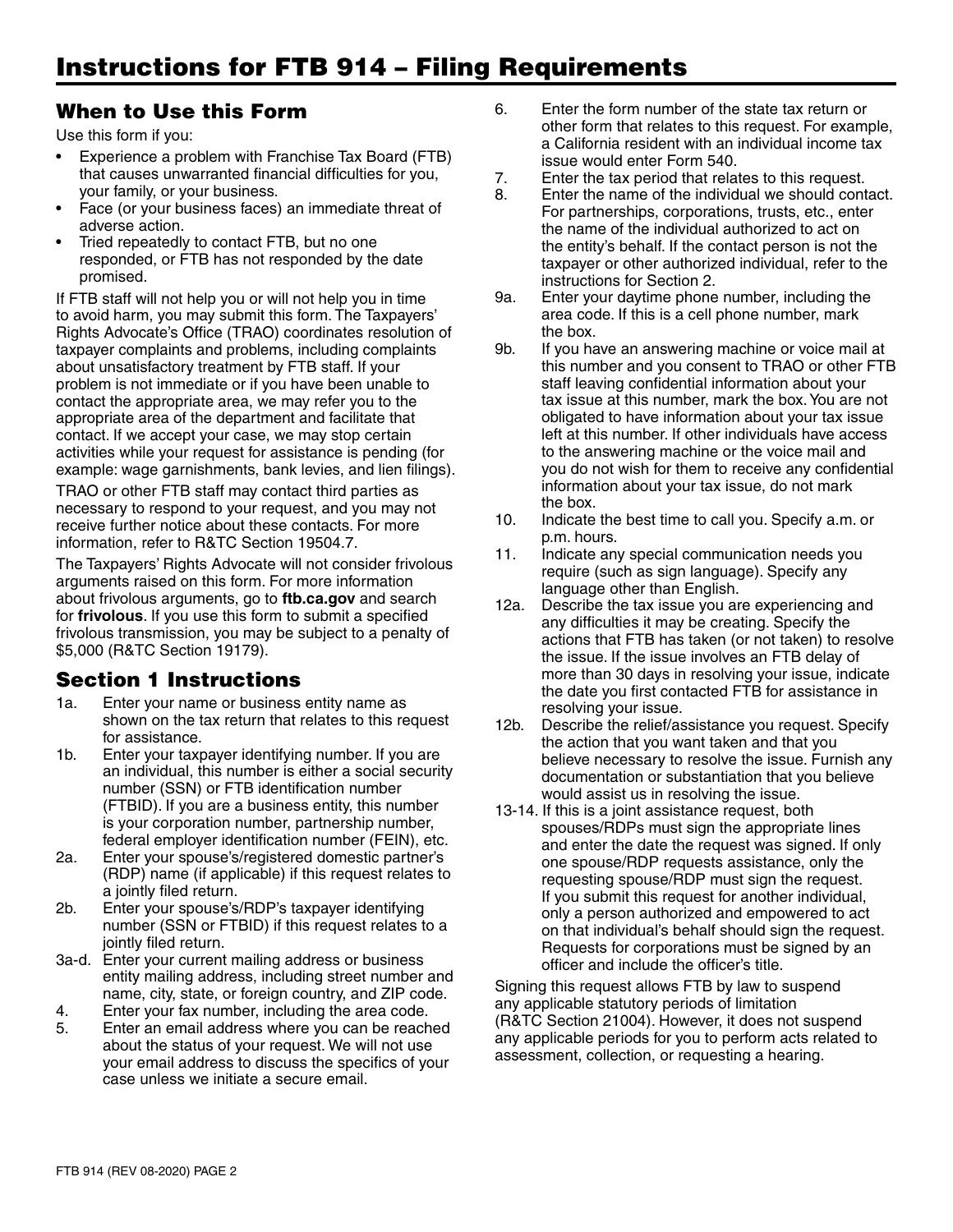## When to Use this Form

Use this form if you:

- Experience a problem with Franchise Tax Board (FTB) that causes unwarranted financial difficulties for you, your family, or your business.
- Face (or your business faces) an immediate threat of adverse action.
- Tried repeatedly to contact FTB, but no one responded, or FTB has not responded by the date promised.

If FTB staff will not help you or will not help you in time to avoid harm, you may submit this form. The Taxpayers' Rights Advocate's Office (TRAO) coordinates resolution of taxpayer complaints and problems, including complaints about unsatisfactory treatment by FTB staff. If your problem is not immediate or if you have been unable to contact the appropriate area, we may refer you to the appropriate area of the department and facilitate that contact. If we accept your case, we may stop certain activities while your request for assistance is pending (for example: wage garnishments, bank levies, and lien filings).

TRAO or other FTB staff may contact third parties as necessary to respond to your request, and you may not receive further notice about these contacts. For more information, refer to R&TC Section 19504.7.

The Taxpayers' Rights Advocate will not consider frivolous arguments raised on this form. For more information about frivolous arguments, go to **ftb.ca.gov** and search for **frivolous**. If you use this form to submit a specified frivolous transmission, you may be subject to a penalty of \$5,000 (R&TC Section 19179).

# Section 1 Instructions

- 1a. Enter your name or business entity name as shown on the tax return that relates to this request for assistance.
- 1b. Enter your taxpayer identifying number. If you are an individual, this number is either a social security number (SSN) or FTB identification number (FTBID). If you are a business entity, this number is your corporation number, partnership number, federal employer identification number (FEIN), etc.
- 2a. Enter your spouse's/registered domestic partner's (RDP) name (if applicable) if this request relates to a jointly filed return.
- 2b. Enter your spouse's/RDP's taxpayer identifying number (SSN or FTBID) if this request relates to a jointly filed return.
- 3a-d. Enter your current mailing address or business entity mailing address, including street number and name, city, state, or foreign country, and ZIP code.
- 4. Enter your fax number, including the area code.
- 5. Enter an email address where you can be reached about the status of your request. We will not use your email address to discuss the specifics of your case unless we initiate a secure email.
- 6. Enter the form number of the state tax return or other form that relates to this request. For example, a California resident with an individual income tax issue would enter Form 540.
- 7. Enter the tax period that relates to this request.
- 8. Enter the name of the individual we should contact. For partnerships, corporations, trusts, etc., enter the name of the individual authorized to act on the entity's behalf. If the contact person is not the taxpayer or other authorized individual, refer to the instructions for Section 2.
- 9a. Enter your daytime phone number, including the area code. If this is a cell phone number, mark the box.
- 9b. If you have an answering machine or voice mail at this number and you consent to TRAO or other FTB staff leaving confidential information about your tax issue at this number, mark the box. You are not obligated to have information about your tax issue left at this number. If other individuals have access to the answering machine or the voice mail and you do not wish for them to receive any confidential information about your tax issue, do not mark the box.
- 10. Indicate the best time to call you. Specify a.m. or p.m. hours.
- 11. Indicate any special communication needs you require (such as sign language). Specify any language other than English.
- 12a. Describe the tax issue you are experiencing and any difficulties it may be creating. Specify the actions that FTB has taken (or not taken) to resolve the issue. If the issue involves an FTB delay of more than 30 days in resolving your issue, indicate the date you first contacted FTB for assistance in resolving your issue.
- 12b. Describe the relief/assistance you request. Specify the action that you want taken and that you believe necessary to resolve the issue. Furnish any documentation or substantiation that you believe would assist us in resolving the issue.
- 13-14. If this is a joint assistance request, both spouses/RDPs must sign the appropriate lines and enter the date the request was signed. If only one spouse/RDP requests assistance, only the requesting spouse/RDP must sign the request. If you submit this request for another individual, only a person authorized and empowered to act on that individual's behalf should sign the request. Requests for corporations must be signed by an officer and include the officer's title.

Signing this request allows FTB by law to suspend any applicable statutory periods of limitation (R&TC Section 21004). However, it does not suspend any applicable periods for you to perform acts related to assessment, collection, or requesting a hearing.